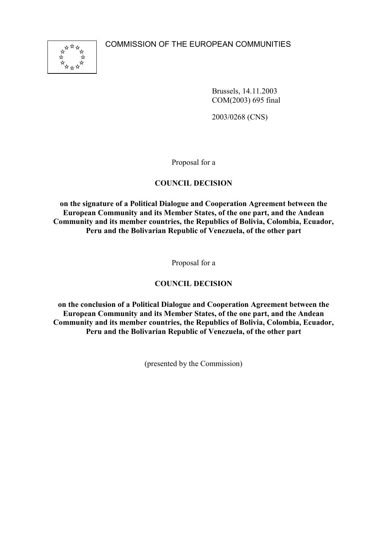COMMISSION OF THE EUROPEAN COMMUNITIES



Brussels, 14.11.2003 COM(2003) 695 final

2003/0268 (CNS)

Proposal for a

# **COUNCIL DECISION**

**on the signature of a Political Dialogue and Cooperation Agreement between the European Community and its Member States, of the one part, and the Andean Community and its member countries, the Republics of Bolivia, Colombia, Ecuador, Peru and the Bolivarian Republic of Venezuela, of the other part**

Proposal for a

# **COUNCIL DECISION**

**on the conclusion of a Political Dialogue and Cooperation Agreement between the European Community and its Member States, of the one part, and the Andean Community and its member countries, the Republics of Bolivia, Colombia, Ecuador, Peru and the Bolivarian Republic of Venezuela, of the other part**

(presented by the Commission)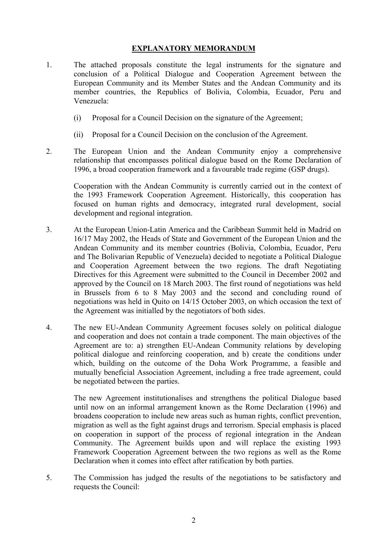## **EXPLANATORY MEMORANDUM**

- 1. The attached proposals constitute the legal instruments for the signature and conclusion of a Political Dialogue and Cooperation Agreement between the European Community and its Member States and the Andean Community and its member countries, the Republics of Bolivia, Colombia, Ecuador, Peru and Venezuela:
	- (i) Proposal for a Council Decision on the signature of the Agreement;
	- (ii) Proposal for a Council Decision on the conclusion of the Agreement.
- 2. The European Union and the Andean Community enjoy a comprehensive relationship that encompasses political dialogue based on the Rome Declaration of 1996, a broad cooperation framework and a favourable trade regime (GSP drugs).

Cooperation with the Andean Community is currently carried out in the context of the 1993 Framework Cooperation Agreement. Historically, this cooperation has focused on human rights and democracy, integrated rural development, social development and regional integration.

- 3. At the European Union-Latin America and the Caribbean Summit held in Madrid on 16/17 May 2002, the Heads of State and Government of the European Union and the Andean Community and its member countries (Bolivia, Colombia, Ecuador, Peru and The Bolivarian Republic of Venezuela) decided to negotiate a Political Dialogue and Cooperation Agreement between the two regions. The draft Negotiating Directives for this Agreement were submitted to the Council in December 2002 and approved by the Council on 18 March 2003. The first round of negotiations was held in Brussels from 6 to 8 May 2003 and the second and concluding round of negotiations was held in Quito on 14/15 October 2003, on which occasion the text of the Agreement was initialled by the negotiators of both sides.
- 4. The new EU-Andean Community Agreement focuses solely on political dialogue and cooperation and does not contain a trade component. The main objectives of the Agreement are to: a) strengthen EU-Andean Community relations by developing political dialogue and reinforcing cooperation, and b) create the conditions under which, building on the outcome of the Doha Work Programme, a feasible and mutually beneficial Association Agreement, including a free trade agreement, could be negotiated between the parties.

The new Agreement institutionalises and strengthens the political Dialogue based until now on an informal arrangement known as the Rome Declaration (1996) and broadens cooperation to include new areas such as human rights, conflict prevention, migration as well as the fight against drugs and terrorism. Special emphasis is placed on cooperation in support of the process of regional integration in the Andean Community. The Agreement builds upon and will replace the existing 1993 Framework Cooperation Agreement between the two regions as well as the Rome Declaration when it comes into effect after ratification by both parties.

5. The Commission has judged the results of the negotiations to be satisfactory and requests the Council: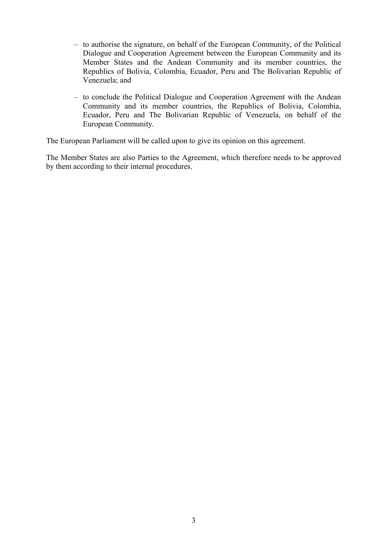- to authorise the signature, on behalf of the European Community, of the Political Dialogue and Cooperation Agreement between the European Community and its Member States and the Andean Community and its member countries, the Republics of Bolivia, Colombia, Ecuador, Peru and The Bolivarian Republic of Venezuela; and
- to conclude the Political Dialogue and Cooperation Agreement with the Andean Community and its member countries, the Republics of Bolivia, Colombia, Ecuador, Peru and The Bolivarian Republic of Venezuela, on behalf of the European Community.

The European Parliament will be called upon to give its opinion on this agreement.

The Member States are also Parties to the Agreement, which therefore needs to be approved by them according to their internal procedures.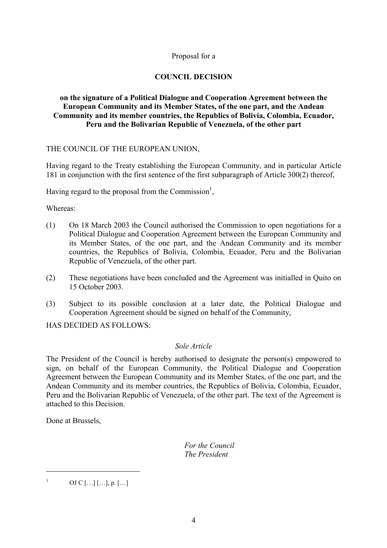#### Proposal for a

# **COUNCIL DECISION**

# **on the signature of a Political Dialogue and Cooperation Agreement between the European Community and its Member States, of the one part, and the Andean Community and its member countries, the Republics of Bolivia, Colombia, Ecuador, Peru and the Bolivarian Republic of Venezuela, of the other part**

THE COUNCIL OF THE EUROPEAN UNION,

Having regard to the Treaty establishing the European Community, and in particular Article 181 in conjunction with the first sentence of the first subparagraph of Article 300(2) thereof,

Having regard to the proposal from the Commission<sup>1</sup>,

Whereas:

- (1) On 18 March 2003 the Council authorised the Commission to open negotiations for a Political Dialogue and Cooperation Agreement between the European Community and its Member States, of the one part, and the Andean Community and its member countries, the Republics of Bolivia, Colombia, Ecuador, Peru and the Bolivarian Republic of Venezuela, of the other part.
- (2) These negotiations have been concluded and the Agreement was initialled in Quito on 15 October 2003.
- (3) Subject to its possible conclusion at a later date, the Political Dialogue and Cooperation Agreement should be signed on behalf of the Community,

HAS DECIDED AS FOLLOWS:

# *Sole Article*

The President of the Council is hereby authorised to designate the person(s) empowered to sign, on behalf of the European Community, the Political Dialogue and Cooperation Agreement between the European Community and its Member States, of the one part, and the Andean Community and its member countries, the Republics of Bolivia, Colombia, Ecuador, Peru and the Bolivarian Republic of Venezuela, of the other part. The text of the Agreement is attached to this Decision.

Done at Brussels,

 $\overline{a}$ 

*For the Council The President*

 $1$  OJ C [...] [...], p. [...]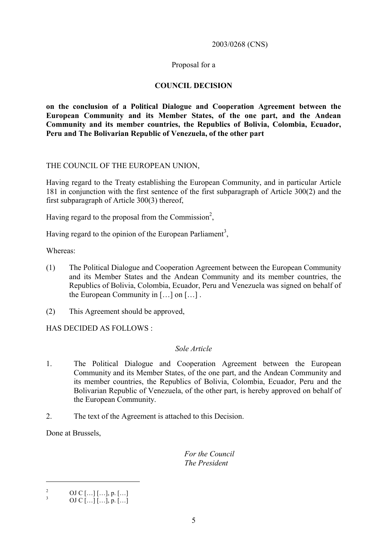#### 2003/0268 (CNS)

#### Proposal for a

# **COUNCIL DECISION**

**on the conclusion of a Political Dialogue and Cooperation Agreement between the European Community and its Member States, of the one part, and the Andean Community and its member countries, the Republics of Bolivia, Colombia, Ecuador, Peru and The Bolivarian Republic of Venezuela, of the other part**

## THE COUNCIL OF THE EUROPEAN UNION,

Having regard to the Treaty establishing the European Community, and in particular Article 181 in conjunction with the first sentence of the first subparagraph of Article 300(2) and the first subparagraph of Article 300(3) thereof,

Having regard to the proposal from the Commission<sup>2</sup>,

Having regard to the opinion of the European Parliament<sup>3</sup>,

Whereas:

- (1) The Political Dialogue and Cooperation Agreement between the European Community and its Member States and the Andean Community and its member countries, the Republics of Bolivia, Colombia, Ecuador, Peru and Venezuela was signed on behalf of the European Community in  $[\dots]$  on  $[\dots]$ .
- (2) This Agreement should be approved,

HAS DECIDED AS FOLLOWS :

#### *Sole Article*

- 1. The Political Dialogue and Cooperation Agreement between the European Community and its Member States, of the one part, and the Andean Community and its member countries, the Republics of Bolivia, Colombia, Ecuador, Peru and the Bolivarian Republic of Venezuela, of the other part, is hereby approved on behalf of the European Community.
- 2. The text of the Agreement is attached to this Decision.

Done at Brussels,

 $\overline{a}$ 

*For the Council The President*

<sup>2</sup> OJ C [...] [...], p. [...]<br>3 OJ C [...] [...], p. [...]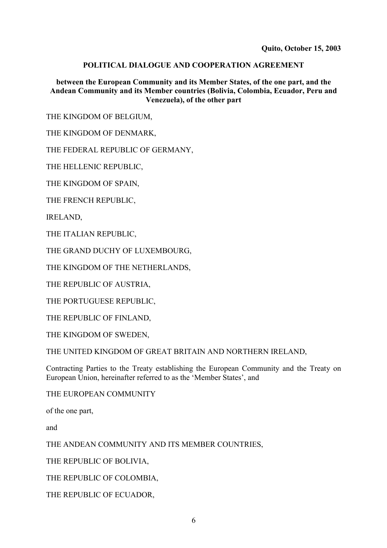## **POLITICAL DIALOGUE AND COOPERATION AGREEMENT**

**between the European Community and its Member States, of the one part, and the Andean Community and its Member countries (Bolivia, Colombia, Ecuador, Peru and Venezuela), of the other part**

THE KINGDOM OF BELGIUM,

THE KINGDOM OF DENMARK,

THE FEDERAL REPUBLIC OF GERMANY,

THE HELLENIC REPUBLIC,

THE KINGDOM OF SPAIN,

THE FRENCH REPUBLIC,

IRELAND,

THE ITALIAN REPUBLIC,

THE GRAND DUCHY OF LUXEMBOURG,

THE KINGDOM OF THE NETHERLANDS,

THE REPUBLIC OF AUSTRIA,

THE PORTUGUESE REPUBLIC,

THE REPUBLIC OF FINLAND,

THE KINGDOM OF SWEDEN,

THE UNITED KINGDOM OF GREAT BRITAIN AND NORTHERN IRELAND,

Contracting Parties to the Treaty establishing the European Community and the Treaty on European Union, hereinafter referred to as the 'Member States', and

THE EUROPEAN COMMUNITY

of the one part,

and

THE ANDEAN COMMUNITY AND ITS MEMBER COUNTRIES,

THE REPUBLIC OF BOLIVIA,

THE REPUBLIC OF COLOMBIA,

THE REPUBLIC OF ECUADOR,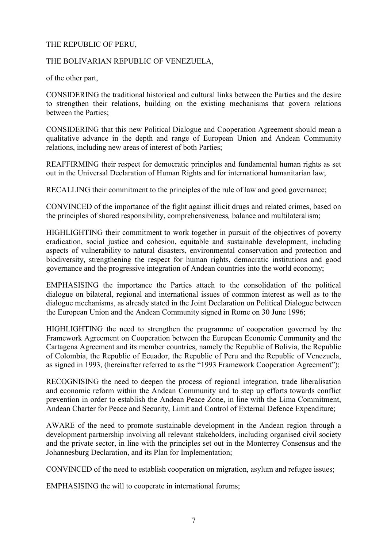# THE REPUBLIC OF PERU,

#### THE BOLIVARIAN REPUBLIC OF VENEZUELA,

of the other part,

CONSIDERING the traditional historical and cultural links between the Parties and the desire to strengthen their relations, building on the existing mechanisms that govern relations between the Parties;

CONSIDERING that this new Political Dialogue and Cooperation Agreement should mean a qualitative advance in the depth and range of European Union and Andean Community relations, including new areas of interest of both Parties;

REAFFIRMING their respect for democratic principles and fundamental human rights as set out in the Universal Declaration of Human Rights and for international humanitarian law;

RECALLING their commitment to the principles of the rule of law and good governance;

CONVINCED of the importance of the fight against illicit drugs and related crimes, based on the principles of shared responsibility, comprehensiveness*,* balance and multilateralism;

HIGHLIGHTING their commitment to work together in pursuit of the objectives of poverty eradication, social justice and cohesion, equitable and sustainable development, including aspects of vulnerability to natural disasters, environmental conservation and protection and biodiversity, strengthening the respect for human rights, democratic institutions and good governance and the progressive integration of Andean countries into the world economy;

EMPHASISING the importance the Parties attach to the consolidation of the political dialogue on bilateral, regional and international issues of common interest as well as to the dialogue mechanisms, as already stated in the Joint Declaration on Political Dialogue between the European Union and the Andean Community signed in Rome on 30 June 1996;

HIGHLIGHTING the need to strengthen the programme of cooperation governed by the Framework Agreement on Cooperation between the European Economic Community and the Cartagena Agreement and its member countries, namely the Republic of Bolivia, the Republic of Colombia, the Republic of Ecuador, the Republic of Peru and the Republic of Venezuela, as signed in 1993, (hereinafter referred to as the "1993 Framework Cooperation Agreement");

RECOGNISING the need to deepen the process of regional integration, trade liberalisation and economic reform within the Andean Community and to step up efforts towards conflict prevention in order to establish the Andean Peace Zone, in line with the Lima Commitment, Andean Charter for Peace and Security, Limit and Control of External Defence Expenditure;

AWARE of the need to promote sustainable development in the Andean region through a development partnership involving all relevant stakeholders, including organised civil society and the private sector, in line with the principles set out in the Monterrey Consensus and the Johannesburg Declaration, and its Plan for Implementation;

CONVINCED of the need to establish cooperation on migration, asylum and refugee issues;

EMPHASISING the will to cooperate in international forums;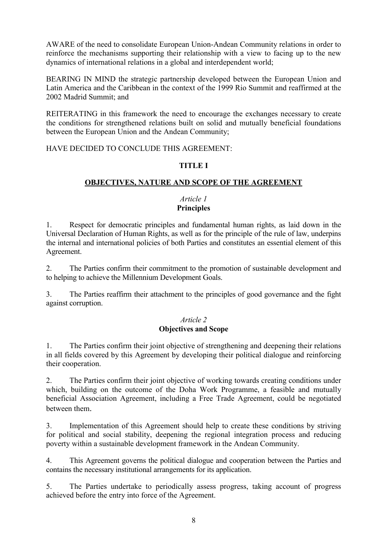AWARE of the need to consolidate European Union-Andean Community relations in order to reinforce the mechanisms supporting their relationship with a view to facing up to the new dynamics of international relations in a global and interdependent world;

BEARING IN MIND the strategic partnership developed between the European Union and Latin America and the Caribbean in the context of the 1999 Rio Summit and reaffirmed at the 2002 Madrid Summit; and

REITERATING in this framework the need to encourage the exchanges necessary to create the conditions for strengthened relations built on solid and mutually beneficial foundations between the European Union and the Andean Community;

HAVE DECIDED TO CONCLUDE THIS AGREEMENT:

# **TITLE I**

# **OBJECTIVES, NATURE AND SCOPE OF THE AGREEMENT**

#### *Article 1* **Principles**

1. Respect for democratic principles and fundamental human rights, as laid down in the Universal Declaration of Human Rights, as well as for the principle of the rule of law, underpins the internal and international policies of both Parties and constitutes an essential element of this Agreement.

2. The Parties confirm their commitment to the promotion of sustainable development and to helping to achieve the Millennium Development Goals.

3. The Parties reaffirm their attachment to the principles of good governance and the fight against corruption.

# *Article 2* **Objectives and Scope**

1. The Parties confirm their joint objective of strengthening and deepening their relations in all fields covered by this Agreement by developing their political dialogue and reinforcing their cooperation.

2. The Parties confirm their joint objective of working towards creating conditions under which, building on the outcome of the Doha Work Programme, a feasible and mutually beneficial Association Agreement, including a Free Trade Agreement, could be negotiated between them.

3. Implementation of this Agreement should help to create these conditions by striving for political and social stability, deepening the regional integration process and reducing poverty within a sustainable development framework in the Andean Community.

4. This Agreement governs the political dialogue and cooperation between the Parties and contains the necessary institutional arrangements for its application.

5. The Parties undertake to periodically assess progress, taking account of progress achieved before the entry into force of the Agreement.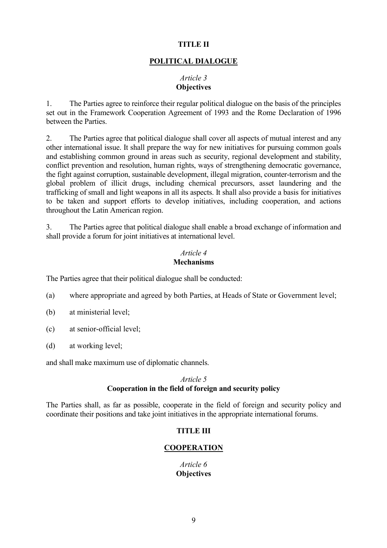#### **TITLE II**

#### **POLITICAL DIALOGUE**

# *Article 3* **Objectives**

1. The Parties agree to reinforce their regular political dialogue on the basis of the principles set out in the Framework Cooperation Agreement of 1993 and the Rome Declaration of 1996 between the Parties.

2. The Parties agree that political dialogue shall cover all aspects of mutual interest and any other international issue. It shall prepare the way for new initiatives for pursuing common goals and establishing common ground in areas such as security, regional development and stability, conflict prevention and resolution, human rights, ways of strengthening democratic governance, the fight against corruption, sustainable development, illegal migration, counter-terrorism and the global problem of illicit drugs, including chemical precursors, asset laundering and the trafficking of small and light weapons in all its aspects. It shall also provide a basis for initiatives to be taken and support efforts to develop initiatives, including cooperation, and actions throughout the Latin American region.

3. The Parties agree that political dialogue shall enable a broad exchange of information and shall provide a forum for joint initiatives at international level.

# *Article 4*

## **Mechanisms**

The Parties agree that their political dialogue shall be conducted:

- (a) where appropriate and agreed by both Parties, at Heads of State or Government level;
- (b) at ministerial level;
- (c) at senior-official level;
- (d) at working level;

and shall make maximum use of diplomatic channels.

# *Article 5* **Cooperation in the field of foreign and security policy**

The Parties shall, as far as possible, cooperate in the field of foreign and security policy and coordinate their positions and take joint initiatives in the appropriate international forums.

#### **TITLE III**

#### **COOPERATION**

*Article 6* **Objectives**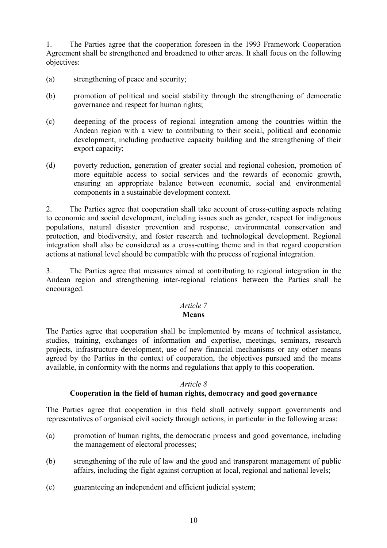1. The Parties agree that the cooperation foreseen in the 1993 Framework Cooperation Agreement shall be strengthened and broadened to other areas. It shall focus on the following objectives:

- (a) strengthening of peace and security;
- (b) promotion of political and social stability through the strengthening of democratic governance and respect for human rights;
- (c) deepening of the process of regional integration among the countries within the Andean region with a view to contributing to their social, political and economic development, including productive capacity building and the strengthening of their export capacity;
- (d) poverty reduction, generation of greater social and regional cohesion, promotion of more equitable access to social services and the rewards of economic growth, ensuring an appropriate balance between economic, social and environmental components in a sustainable development context.

2. The Parties agree that cooperation shall take account of cross-cutting aspects relating to economic and social development, including issues such as gender, respect for indigenous populations, natural disaster prevention and response, environmental conservation and protection, and biodiversity, and foster research and technological development. Regional integration shall also be considered as a cross-cutting theme and in that regard cooperation actions at national level should be compatible with the process of regional integration.

3. The Parties agree that measures aimed at contributing to regional integration in the Andean region and strengthening inter-regional relations between the Parties shall be encouraged.

# *Article 7*

# **Means**

The Parties agree that cooperation shall be implemented by means of technical assistance, studies, training, exchanges of information and expertise, meetings, seminars, research projects, infrastructure development, use of new financial mechanisms or any other means agreed by the Parties in the context of cooperation, the objectives pursued and the means available, in conformity with the norms and regulations that apply to this cooperation.

#### *Article 8*

# **Cooperation in the field of human rights, democracy and good governance**

The Parties agree that cooperation in this field shall actively support governments and representatives of organised civil society through actions, in particular in the following areas:

- (a) promotion of human rights, the democratic process and good governance, including the management of electoral processes;
- (b) strengthening of the rule of law and the good and transparent management of public affairs, including the fight against corruption at local, regional and national levels;
- (c) guaranteeing an independent and efficient judicial system;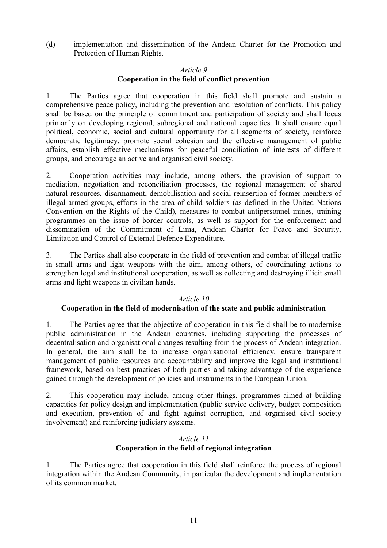(d) implementation and dissemination of the Andean Charter for the Promotion and Protection of Human Rights.

## *Article 9*

# **Cooperation in the field of conflict prevention**

1. The Parties agree that cooperation in this field shall promote and sustain a comprehensive peace policy, including the prevention and resolution of conflicts. This policy shall be based on the principle of commitment and participation of society and shall focus primarily on developing regional, subregional and national capacities. It shall ensure equal political, economic, social and cultural opportunity for all segments of society, reinforce democratic legitimacy, promote social cohesion and the effective management of public affairs, establish effective mechanisms for peaceful conciliation of interests of different groups, and encourage an active and organised civil society.

2. Cooperation activities may include, among others, the provision of support to mediation, negotiation and reconciliation processes, the regional management of shared natural resources, disarmament, demobilisation and social reinsertion of former members of illegal armed groups, efforts in the area of child soldiers (as defined in the United Nations Convention on the Rights of the Child), measures to combat antipersonnel mines, training programmes on the issue of border controls, as well as support for the enforcement and dissemination of the Commitment of Lima, Andean Charter for Peace and Security, Limitation and Control of External Defence Expenditure.

3. The Parties shall also cooperate in the field of prevention and combat of illegal traffic in small arms and light weapons with the aim, among others, of coordinating actions to strengthen legal and institutional cooperation, as well as collecting and destroying illicit small arms and light weapons in civilian hands.

# *Article 10*

# **Cooperation in the field of modernisation of the state and public administration**

1. The Parties agree that the objective of cooperation in this field shall be to modernise public administration in the Andean countries, including supporting the processes of decentralisation and organisational changes resulting from the process of Andean integration. In general, the aim shall be to increase organisational efficiency, ensure transparent management of public resources and accountability and improve the legal and institutional framework, based on best practices of both parties and taking advantage of the experience gained through the development of policies and instruments in the European Union.

2. This cooperation may include, among other things, programmes aimed at building capacities for policy design and implementation (public service delivery, budget composition and execution, prevention of and fight against corruption, and organised civil society involvement) and reinforcing judiciary systems.

# *Article 11* **Cooperation in the field of regional integration**

1. The Parties agree that cooperation in this field shall reinforce the process of regional integration within the Andean Community, in particular the development and implementation of its common market.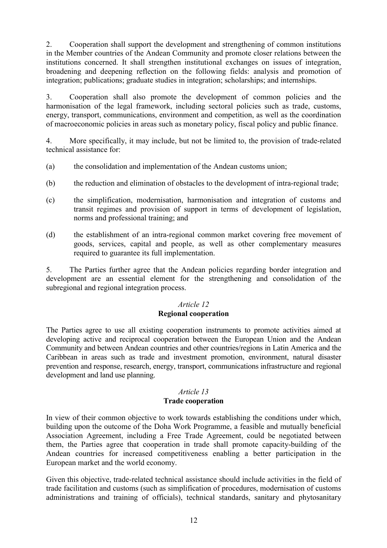2. Cooperation shall support the development and strengthening of common institutions in the Member countries of the Andean Community and promote closer relations between the institutions concerned. It shall strengthen institutional exchanges on issues of integration, broadening and deepening reflection on the following fields: analysis and promotion of integration; publications; graduate studies in integration; scholarships; and internships.

3. Cooperation shall also promote the development of common policies and the harmonisation of the legal framework, including sectoral policies such as trade, customs, energy, transport, communications, environment and competition, as well as the coordination of macroeconomic policies in areas such as monetary policy, fiscal policy and public finance.

4. More specifically, it may include, but not be limited to, the provision of trade-related technical assistance for:

- (a) the consolidation and implementation of the Andean customs union;
- (b) the reduction and elimination of obstacles to the development of intra-regional trade;
- (c) the simplification, modernisation, harmonisation and integration of customs and transit regimes and provision of support in terms of development of legislation, norms and professional training; and
- (d) the establishment of an intra-regional common market covering free movement of goods, services, capital and people, as well as other complementary measures required to guarantee its full implementation.

5. The Parties further agree that the Andean policies regarding border integration and development are an essential element for the strengthening and consolidation of the subregional and regional integration process.

# *Article 12*

# **Regional cooperation**

The Parties agree to use all existing cooperation instruments to promote activities aimed at developing active and reciprocal cooperation between the European Union and the Andean Community and between Andean countries and other countries/regions in Latin America and the Caribbean in areas such as trade and investment promotion, environment, natural disaster prevention and response, research, energy, transport, communications infrastructure and regional development and land use planning.

# *Article 13*

#### **Trade cooperation**

In view of their common objective to work towards establishing the conditions under which, building upon the outcome of the Doha Work Programme, a feasible and mutually beneficial Association Agreement, including a Free Trade Agreement, could be negotiated between them, the Parties agree that cooperation in trade shall promote capacity-building of the Andean countries for increased competitiveness enabling a better participation in the European market and the world economy.

Given this objective, trade-related technical assistance should include activities in the field of trade facilitation and customs (such as simplification of procedures, modernisation of customs administrations and training of officials), technical standards, sanitary and phytosanitary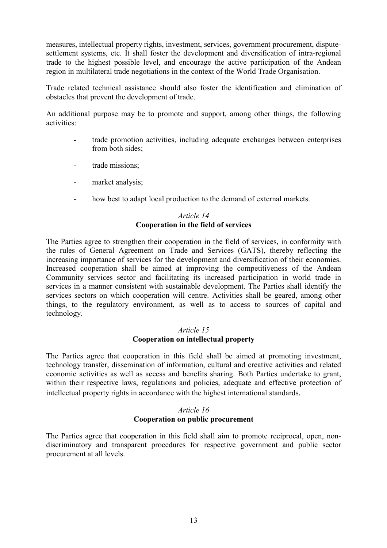measures, intellectual property rights, investment, services, government procurement, disputesettlement systems, etc. It shall foster the development and diversification of intra-regional trade to the highest possible level, and encourage the active participation of the Andean region in multilateral trade negotiations in the context of the World Trade Organisation.

Trade related technical assistance should also foster the identification and elimination of obstacles that prevent the development of trade.

An additional purpose may be to promote and support, among other things, the following activities:

- trade promotion activities, including adequate exchanges between enterprises from both sides;
- trade missions;
- market analysis;
- how best to adapt local production to the demand of external markets.

# *Article 14* **Cooperation in the field of services**

The Parties agree to strengthen their cooperation in the field of services, in conformity with the rules of General Agreement on Trade and Services (GATS), thereby reflecting the increasing importance of services for the development and diversification of their economies. Increased cooperation shall be aimed at improving the competitiveness of the Andean Community services sector and facilitating its increased participation in world trade in services in a manner consistent with sustainable development. The Parties shall identify the services sectors on which cooperation will centre. Activities shall be geared, among other things, to the regulatory environment, as well as to access to sources of capital and technology.

#### *Article 15*

## **Cooperation on intellectual property**

The Parties agree that cooperation in this field shall be aimed at promoting investment, technology transfer, dissemination of information, cultural and creative activities and related economic activities as well as access and benefits sharing. Both Parties undertake to grant, within their respective laws, regulations and policies, adequate and effective protection of intellectual property rights in accordance with the highest international standards.

## *Article 16* **Cooperation on public procurement**

The Parties agree that cooperation in this field shall aim to promote reciprocal, open, nondiscriminatory and transparent procedures for respective government and public sector procurement at all levels.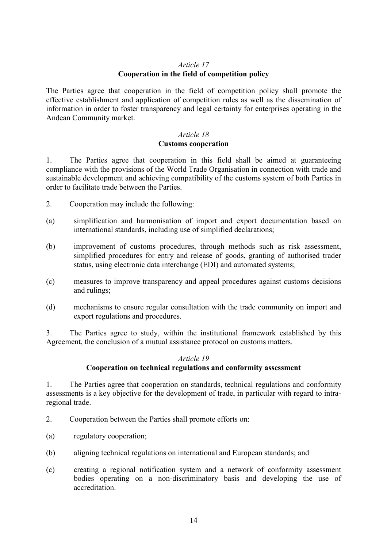# **Cooperation in the field of competition policy**

The Parties agree that cooperation in the field of competition policy shall promote the effective establishment and application of competition rules as well as the dissemination of information in order to foster transparency and legal certainty for enterprises operating in the Andean Community market.

# *Article 18* **Customs cooperation**

1. The Parties agree that cooperation in this field shall be aimed at guaranteeing compliance with the provisions of the World Trade Organisation in connection with trade and sustainable development and achieving compatibility of the customs system of both Parties in order to facilitate trade between the Parties.

- 2. Cooperation may include the following:
- (a) simplification and harmonisation of import and export documentation based on international standards, including use of simplified declarations;
- (b) improvement of customs procedures, through methods such as risk assessment, simplified procedures for entry and release of goods, granting of authorised trader status, using electronic data interchange (EDI) and automated systems;
- (c) measures to improve transparency and appeal procedures against customs decisions and rulings;
- (d) mechanisms to ensure regular consultation with the trade community on import and export regulations and procedures.

3. The Parties agree to study, within the institutional framework established by this Agreement, the conclusion of a mutual assistance protocol on customs matters.

#### *Article 19*

# **Cooperation on technical regulations and conformity assessment**

1. The Parties agree that cooperation on standards, technical regulations and conformity assessments is a key objective for the development of trade, in particular with regard to intraregional trade.

- 2. Cooperation between the Parties shall promote efforts on:
- (a) regulatory cooperation;
- (b) aligning technical regulations on international and European standards; and
- (c) creating a regional notification system and a network of conformity assessment bodies operating on a non-discriminatory basis and developing the use of accreditation.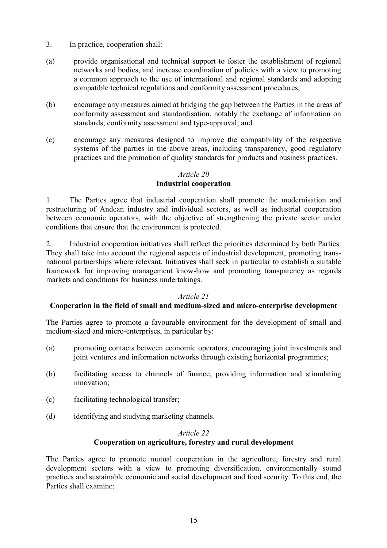- 3. In practice, cooperation shall:
- (a) provide organisational and technical support to foster the establishment of regional networks and bodies, and increase coordination of policies with a view to promoting a common approach to the use of international and regional standards and adopting compatible technical regulations and conformity assessment procedures;
- (b) encourage any measures aimed at bridging the gap between the Parties in the areas of conformity assessment and standardisation, notably the exchange of information on standards, conformity assessment and type-approval; and
- (c) encourage any measures designed to improve the compatibility of the respective systems of the parties in the above areas, including transparency, good regulatory practices and the promotion of quality standards for products and business practices.

# *Article 20* **Industrial cooperation**

1. The Parties agree that industrial cooperation shall promote the modernisation and restructuring of Andean industry and individual sectors, as well as industrial cooperation between economic operators, with the objective of strengthening the private sector under conditions that ensure that the environment is protected.

2. Industrial cooperation initiatives shall reflect the priorities determined by both Parties. They shall take into account the regional aspects of industrial development, promoting transnational partnerships where relevant. Initiatives shall seek in particular to establish a suitable framework for improving management know-how and promoting transparency as regards markets and conditions for business undertakings.

# *Article 21*

# **Cooperation in the field of small and medium-sized and micro-enterprise development**

The Parties agree to promote a favourable environment for the development of small and medium-sized and micro-enterprises, in particular by:

- (a) promoting contacts between economic operators, encouraging joint investments and joint ventures and information networks through existing horizontal programmes;
- (b) facilitating access to channels of finance, providing information and stimulating innovation;
- (c) facilitating technological transfer;
- (d) identifying and studying marketing channels.

# *Article 22*

# **Cooperation on agriculture, forestry and rural development**

The Parties agree to promote mutual cooperation in the agriculture, forestry and rural development sectors with a view to promoting diversification, environmentally sound practices and sustainable economic and social development and food security. To this end, the Parties shall examine: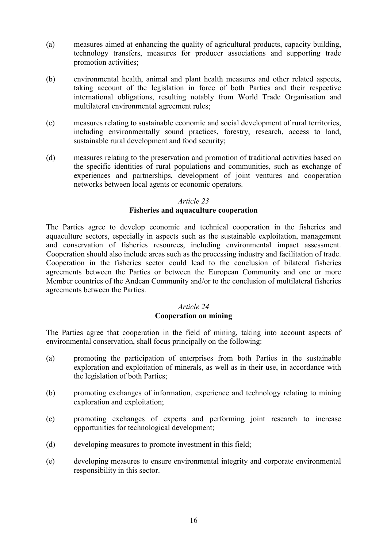- (a) measures aimed at enhancing the quality of agricultural products, capacity building, technology transfers, measures for producer associations and supporting trade promotion activities;
- (b) environmental health, animal and plant health measures and other related aspects, taking account of the legislation in force of both Parties and their respective international obligations, resulting notably from World Trade Organisation and multilateral environmental agreement rules;
- (c) measures relating to sustainable economic and social development of rural territories, including environmentally sound practices, forestry, research, access to land, sustainable rural development and food security;
- (d) measures relating to the preservation and promotion of traditional activities based on the specific identities of rural populations and communities, such as exchange of experiences and partnerships, development of joint ventures and cooperation networks between local agents or economic operators.

## **Fisheries and aquaculture cooperation**

The Parties agree to develop economic and technical cooperation in the fisheries and aquaculture sectors, especially in aspects such as the sustainable exploitation, management and conservation of fisheries resources, including environmental impact assessment. Cooperation should also include areas such as the processing industry and facilitation of trade. Cooperation in the fisheries sector could lead to the conclusion of bilateral fisheries agreements between the Parties or between the European Community and one or more Member countries of the Andean Community and/or to the conclusion of multilateral fisheries agreements between the Parties.

# *Article 24*

#### **Cooperation on mining**

The Parties agree that cooperation in the field of mining, taking into account aspects of environmental conservation, shall focus principally on the following:

- (a) promoting the participation of enterprises from both Parties in the sustainable exploration and exploitation of minerals, as well as in their use, in accordance with the legislation of both Parties;
- (b) promoting exchanges of information, experience and technology relating to mining exploration and exploitation;
- (c) promoting exchanges of experts and performing joint research to increase opportunities for technological development;
- (d) developing measures to promote investment in this field;
- (e) developing measures to ensure environmental integrity and corporate environmental responsibility in this sector.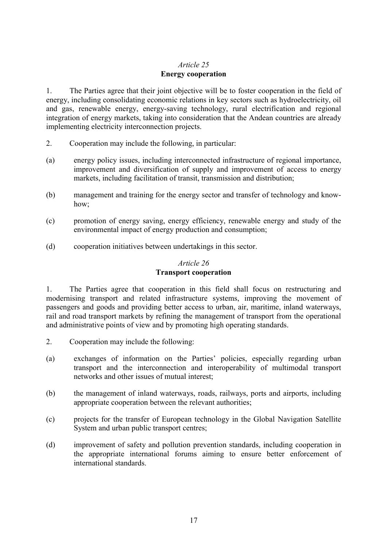# **Energy cooperation**

1. The Parties agree that their joint objective will be to foster cooperation in the field of energy, including consolidating economic relations in key sectors such as hydroelectricity, oil and gas, renewable energy, energy-saving technology, rural electrification and regional integration of energy markets, taking into consideration that the Andean countries are already implementing electricity interconnection projects.

- 2. Cooperation may include the following, in particular:
- (a) energy policy issues, including interconnected infrastructure of regional importance, improvement and diversification of supply and improvement of access to energy markets, including facilitation of transit, transmission and distribution;
- (b) management and training for the energy sector and transfer of technology and knowhow;
- (c) promotion of energy saving, energy efficiency, renewable energy and study of the environmental impact of energy production and consumption;
- (d) cooperation initiatives between undertakings in this sector.

# *Article 26* **Transport cooperation**

1. The Parties agree that cooperation in this field shall focus on restructuring and modernising transport and related infrastructure systems, improving the movement of passengers and goods and providing better access to urban, air, maritime, inland waterways, rail and road transport markets by refining the management of transport from the operational and administrative points of view and by promoting high operating standards.

- 2. Cooperation may include the following:
- (a) exchanges of information on the Parties' policies, especially regarding urban transport and the interconnection and interoperability of multimodal transport networks and other issues of mutual interest;
- (b) the management of inland waterways, roads, railways, ports and airports, including appropriate cooperation between the relevant authorities;
- (c) projects for the transfer of European technology in the Global Navigation Satellite System and urban public transport centres;
- (d) improvement of safety and pollution prevention standards, including cooperation in the appropriate international forums aiming to ensure better enforcement of international standards.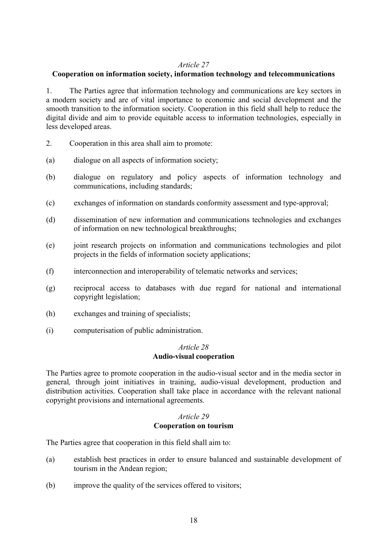## **Cooperation on information society, information technology and telecommunications**

1. The Parties agree that information technology and communications are key sectors in a modern society and are of vital importance to economic and social development and the smooth transition to the information society. Cooperation in this field shall help to reduce the digital divide and aim to provide equitable access to information technologies, especially in less developed areas.

- 2. Cooperation in this area shall aim to promote:
- (a) dialogue on all aspects of information society;
- (b) dialogue on regulatory and policy aspects of information technology and communications, including standards;
- (c) exchanges of information on standards conformity assessment and type-approval;
- (d) dissemination of new information and communications technologies and exchanges of information on new technological breakthroughs;
- (e) joint research projects on information and communications technologies and pilot projects in the fields of information society applications;
- (f) interconnection and interoperability of telematic networks and services;
- (g) reciprocal access to databases with due regard for national and international copyright legislation;
- (h) exchanges and training of specialists;
- (i) computerisation of public administration.

#### *Article 28* **Audio-visual cooperation**

The Parties agree to promote cooperation in the audio-visual sector and in the media sector in general*,* through joint initiatives in training, audio-visual development, production and distribution activities. Cooperation shall take place in accordance with the relevant national copyright provisions and international agreements.

#### *Article 29* **Cooperation on tourism**

The Parties agree that cooperation in this field shall aim to:

- (a) establish best practices in order to ensure balanced and sustainable development of tourism in the Andean region;
- (b) improve the quality of the services offered to visitors;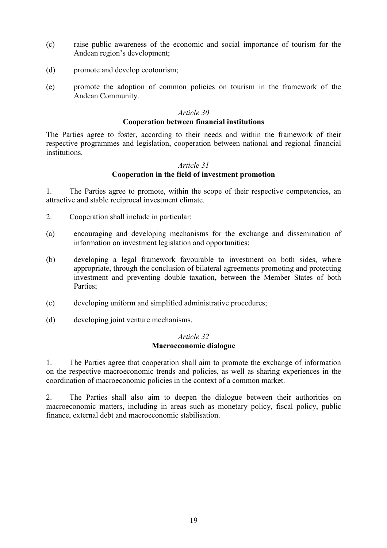- (c) raise public awareness of the economic and social importance of tourism for the Andean region's development;
- (d) promote and develop ecotourism;
- (e) promote the adoption of common policies on tourism in the framework of the Andean Community.

#### **Cooperation between financial institutions**

The Parties agree to foster, according to their needs and within the framework of their respective programmes and legislation, cooperation between national and regional financial institutions.

# *Article 31*

#### **Cooperation in the field of investment promotion**

1. The Parties agree to promote, within the scope of their respective competencies, an attractive and stable reciprocal investment climate.

- 2. Cooperation shall include in particular:
- (a) encouraging and developing mechanisms for the exchange and dissemination of information on investment legislation and opportunities;
- (b) developing a legal framework favourable to investment on both sides, where appropriate, through the conclusion of bilateral agreements promoting and protecting investment and preventing double taxation**,** between the Member States of both Parties;
- (c) developing uniform and simplified administrative procedures;
- (d) developing joint venture mechanisms.

#### *Article 32* **Macroeconomic dialogue**

1. The Parties agree that cooperation shall aim to promote the exchange of information on the respective macroeconomic trends and policies, as well as sharing experiences in the coordination of macroeconomic policies in the context of a common market.

2. The Parties shall also aim to deepen the dialogue between their authorities on macroeconomic matters, including in areas such as monetary policy, fiscal policy, public finance, external debt and macroeconomic stabilisation.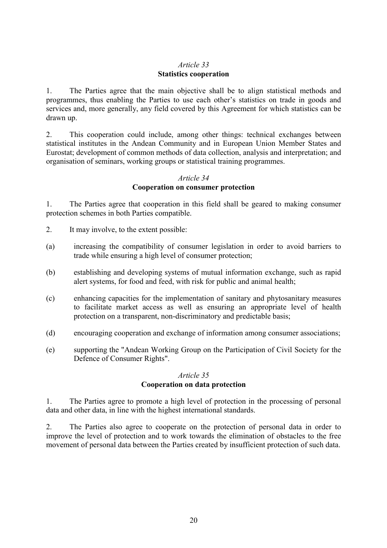## **Statistics cooperation**

1. The Parties agree that the main objective shall be to align statistical methods and programmes, thus enabling the Parties to use each other's statistics on trade in goods and services and, more generally, any field covered by this Agreement for which statistics can be drawn up.

2. This cooperation could include, among other things: technical exchanges between statistical institutes in the Andean Community and in European Union Member States and Eurostat; development of common methods of data collection, analysis and interpretation; and organisation of seminars, working groups or statistical training programmes.

## *Article 34* **Cooperation on consumer protection**

1. The Parties agree that cooperation in this field shall be geared to making consumer protection schemes in both Parties compatible.

- 2. It may involve, to the extent possible:
- (a) increasing the compatibility of consumer legislation in order to avoid barriers to trade while ensuring a high level of consumer protection;
- (b) establishing and developing systems of mutual information exchange, such as rapid alert systems, for food and feed, with risk for public and animal health;
- (c) enhancing capacities for the implementation of sanitary and phytosanitary measures to facilitate market access as well as ensuring an appropriate level of health protection on a transparent, non-discriminatory and predictable basis;
- (d) encouraging cooperation and exchange of information among consumer associations;
- (e) supporting the "Andean Working Group on the Participation of Civil Society for the Defence of Consumer Rights".

# *Article 35* **Cooperation on data protection**

1. The Parties agree to promote a high level of protection in the processing of personal data and other data, in line with the highest international standards.

2. The Parties also agree to cooperate on the protection of personal data in order to improve the level of protection and to work towards the elimination of obstacles to the free movement of personal data between the Parties created by insufficient protection of such data.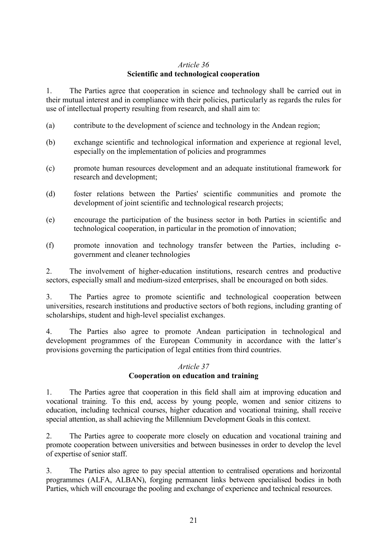# **Scientific and technological cooperation**

1. The Parties agree that cooperation in science and technology shall be carried out in their mutual interest and in compliance with their policies, particularly as regards the rules for use of intellectual property resulting from research, and shall aim to:

- (a) contribute to the development of science and technology in the Andean region;
- (b) exchange scientific and technological information and experience at regional level, especially on the implementation of policies and programmes
- (c) promote human resources development and an adequate institutional framework for research and development;
- (d) foster relations between the Parties' scientific communities and promote the development of joint scientific and technological research projects;
- (e) encourage the participation of the business sector in both Parties in scientific and technological cooperation, in particular in the promotion of innovation;
- (f) promote innovation and technology transfer between the Parties, including egovernment and cleaner technologies

2. The involvement of higher-education institutions, research centres and productive sectors, especially small and medium-sized enterprises, shall be encouraged on both sides.

3. The Parties agree to promote scientific and technological cooperation between universities, research institutions and productive sectors of both regions, including granting of scholarships, student and high-level specialist exchanges.

4. The Parties also agree to promote Andean participation in technological and development programmes of the European Community in accordance with the latter's provisions governing the participation of legal entities from third countries.

# *Article 37*

# **Cooperation on education and training**

1. The Parties agree that cooperation in this field shall aim at improving education and vocational training. To this end, access by young people, women and senior citizens to education, including technical courses, higher education and vocational training, shall receive special attention, as shall achieving the Millennium Development Goals in this context.

2. The Parties agree to cooperate more closely on education and vocational training and promote cooperation between universities and between businesses in order to develop the level of expertise of senior staff.

3. The Parties also agree to pay special attention to centralised operations and horizontal programmes (ALFA, ALBAN), forging permanent links between specialised bodies in both Parties, which will encourage the pooling and exchange of experience and technical resources.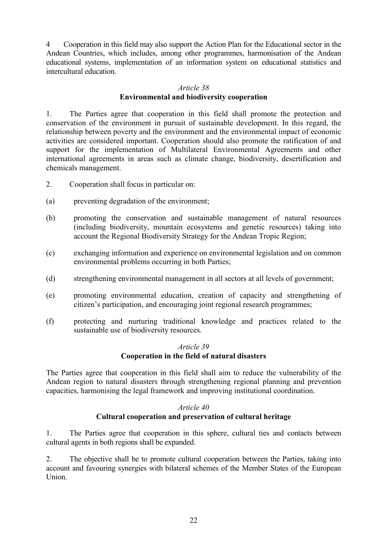4 Cooperation in this field may also support the Action Plan for the Educational sector in the Andean Countries, which includes, among other programmes, harmonisation of the Andean educational systems, implementation of an information system on educational statistics and intercultural education.

## *Article 38* **Environmental and biodiversity cooperation**

1. The Parties agree that cooperation in this field shall promote the protection and conservation of the environment in pursuit of sustainable development. In this regard, the relationship between poverty and the environment and the environmental impact of economic activities are considered important. Cooperation should also promote the ratification of and support for the implementation of Multilateral Environmental Agreements and other international agreements in areas such as climate change, biodiversity, desertification and chemicals management.

- 2. Cooperation shall focus in particular on:
- (a) preventing degradation of the environment;
- (b) promoting the conservation and sustainable management of natural resources (including biodiversity, mountain ecosystems and genetic resources) taking into account the Regional Biodiversity Strategy for the Andean Tropic Region;
- (c) exchanging information and experience on environmental legislation and on common environmental problems occurring in both Parties;
- (d) strengthening environmental management in all sectors at all levels of government;
- (e) promoting environmental education, creation of capacity and strengthening of citizen's participation, and encouraging joint regional research programmes;
- (f) protecting and nurturing traditional knowledge and practices related to the sustainable use of biodiversity resources.

# *Article 39*

# **Cooperation in the field of natural disasters**

The Parties agree that cooperation in this field shall aim to reduce the vulnerability of the Andean region to natural disasters through strengthening regional planning and prevention capacities, harmonising the legal framework and improving institutional coordination.

#### *Article 40* **Cultural cooperation and preservation of cultural heritage**

1. The Parties agree that cooperation in this sphere, cultural ties and contacts between cultural agents in both regions shall be expanded.

2. The objective shall be to promote cultural cooperation between the Parties, taking into account and favouring synergies with bilateral schemes of the Member States of the European Union.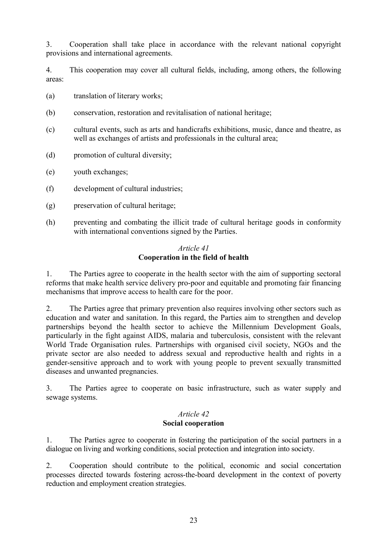3. Cooperation shall take place in accordance with the relevant national copyright provisions and international agreements.

4. This cooperation may cover all cultural fields, including, among others, the following areas:

- (a) translation of literary works;
- (b) conservation, restoration and revitalisation of national heritage;
- (c) cultural events, such as arts and handicrafts exhibitions, music, dance and theatre, as well as exchanges of artists and professionals in the cultural area;
- (d) promotion of cultural diversity;
- (e) youth exchanges;
- (f) development of cultural industries;
- (g) preservation of cultural heritage;
- (h) preventing and combating the illicit trade of cultural heritage goods in conformity with international conventions signed by the Parties.

#### *Article 41* **Cooperation in the field of health**

1. The Parties agree to cooperate in the health sector with the aim of supporting sectoral reforms that make health service delivery pro-poor and equitable and promoting fair financing mechanisms that improve access to health care for the poor.

2. The Parties agree that primary prevention also requires involving other sectors such as education and water and sanitation. In this regard, the Parties aim to strengthen and develop partnerships beyond the health sector to achieve the Millennium Development Goals, particularly in the fight against AIDS, malaria and tuberculosis, consistent with the relevant World Trade Organisation rules. Partnerships with organised civil society, NGOs and the private sector are also needed to address sexual and reproductive health and rights in a gender-sensitive approach and to work with young people to prevent sexually transmitted diseases and unwanted pregnancies.

3. The Parties agree to cooperate on basic infrastructure, such as water supply and sewage systems.

## *Article 42* **Social cooperation**

1. The Parties agree to cooperate in fostering the participation of the social partners in a dialogue on living and working conditions, social protection and integration into society.

2. Cooperation should contribute to the political, economic and social concertation processes directed towards fostering across-the-board development in the context of poverty reduction and employment creation strategies.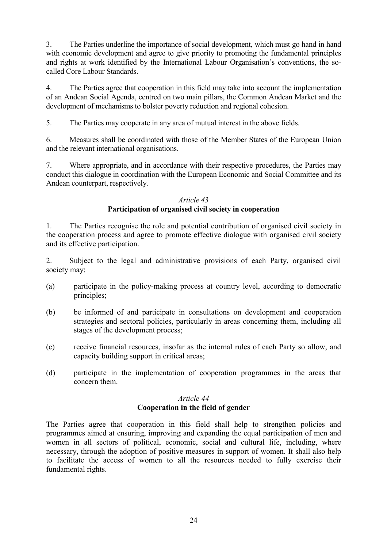3. The Parties underline the importance of social development, which must go hand in hand with economic development and agree to give priority to promoting the fundamental principles and rights at work identified by the International Labour Organisation's conventions, the socalled Core Labour Standards.

4. The Parties agree that cooperation in this field may take into account the implementation of an Andean Social Agenda, centred on two main pillars, the Common Andean Market and the development of mechanisms to bolster poverty reduction and regional cohesion.

5. The Parties may cooperate in any area of mutual interest in the above fields.

6. Measures shall be coordinated with those of the Member States of the European Union and the relevant international organisations.

7. Where appropriate, and in accordance with their respective procedures, the Parties may conduct this dialogue in coordination with the European Economic and Social Committee and its Andean counterpart, respectively.

#### *Article 43*

# **Participation of organised civil society in cooperation**

1. The Parties recognise the role and potential contribution of organised civil society in the cooperation process and agree to promote effective dialogue with organised civil society and its effective participation.

2. Subject to the legal and administrative provisions of each Party, organised civil society may:

- (a) participate in the policy-making process at country level, according to democratic principles;
- (b) be informed of and participate in consultations on development and cooperation strategies and sectoral policies, particularly in areas concerning them, including all stages of the development process;
- (c) receive financial resources, insofar as the internal rules of each Party so allow, and capacity building support in critical areas;
- (d) participate in the implementation of cooperation programmes in the areas that concern them.

#### *Article 44*

# **Cooperation in the field of gender**

The Parties agree that cooperation in this field shall help to strengthen policies and programmes aimed at ensuring, improving and expanding the equal participation of men and women in all sectors of political, economic, social and cultural life, including, where necessary, through the adoption of positive measures in support of women. It shall also help to facilitate the access of women to all the resources needed to fully exercise their fundamental rights.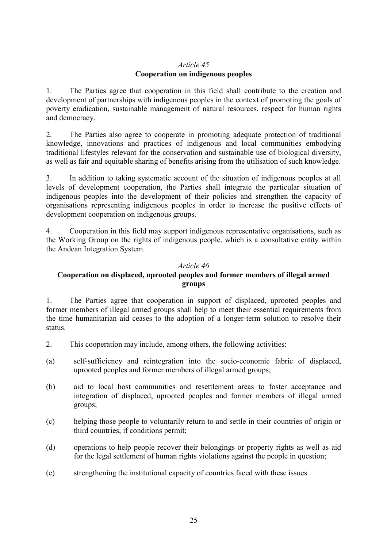# *Article 45* **Cooperation on indigenous peoples**

1. The Parties agree that cooperation in this field shall contribute to the creation and development of partnerships with indigenous peoples in the context of promoting the goals of poverty eradication, sustainable management of natural resources, respect for human rights and democracy.

2. The Parties also agree to cooperate in promoting adequate protection of traditional knowledge, innovations and practices of indigenous and local communities embodying traditional lifestyles relevant for the conservation and sustainable use of biological diversity, as well as fair and equitable sharing of benefits arising from the utilisation of such knowledge.

3. In addition to taking systematic account of the situation of indigenous peoples at all levels of development cooperation, the Parties shall integrate the particular situation of indigenous peoples into the development of their policies and strengthen the capacity of organisations representing indigenous peoples in order to increase the positive effects of development cooperation on indigenous groups.

4. Cooperation in this field may support indigenous representative organisations, such as the Working Group on the rights of indigenous people, which is a consultative entity within the Andean Integration System.

# *Article 46*

# **Cooperation on displaced, uprooted peoples and former members of illegal armed groups**

1. The Parties agree that cooperation in support of displaced, uprooted peoples and former members of illegal armed groups shall help to meet their essential requirements from the time humanitarian aid ceases to the adoption of a longer-term solution to resolve their status.

- 2. This cooperation may include, among others, the following activities:
- (a) self-sufficiency and reintegration into the socio-economic fabric of displaced, uprooted peoples and former members of illegal armed groups;
- (b) aid to local host communities and resettlement areas to foster acceptance and integration of displaced, uprooted peoples and former members of illegal armed groups;
- (c) helping those people to voluntarily return to and settle in their countries of origin or third countries, if conditions permit;
- (d) operations to help people recover their belongings or property rights as well as aid for the legal settlement of human rights violations against the people in question;
- (e) strengthening the institutional capacity of countries faced with these issues.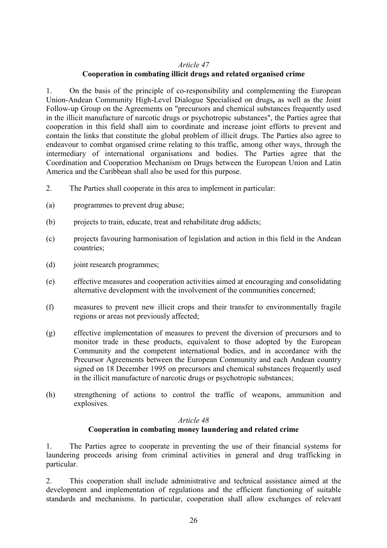## **Cooperation in combating illicit drugs and related organised crime**

1. On the basis of the principle of co-responsibility and complementing the European Union-Andean Community High-Level Dialogue Specialised on drugs**,** as well as the Joint Follow-up Group on the Agreements on "precursors and chemical substances frequently used in the illicit manufacture of narcotic drugs or psychotropic substances", the Parties agree that cooperation in this field shall aim to coordinate and increase joint efforts to prevent and contain the links that constitute the global problem of illicit drugs. The Parties also agree to endeavour to combat organised crime relating to this traffic, among other ways, through the intermediary of international organisations and bodies. The Parties agree that the Coordination and Cooperation Mechanism on Drugs between the European Union and Latin America and the Caribbean shall also be used for this purpose.

- 2. The Parties shall cooperate in this area to implement in particular:
- (a) programmes to prevent drug abuse;
- (b) projects to train, educate, treat and rehabilitate drug addicts;
- (c) projects favouring harmonisation of legislation and action in this field in the Andean countries;
- (d) joint research programmes;
- (e) effective measures and cooperation activities aimed at encouraging and consolidating alternative development with the involvement of the communities concerned;
- (f) measures to prevent new illicit crops and their transfer to environmentally fragile regions or areas not previously affected;
- (g) effective implementation of measures to prevent the diversion of precursors and to monitor trade in these products, equivalent to those adopted by the European Community and the competent international bodies, and in accordance with the Precursor Agreements between the European Community and each Andean country signed on 18 December 1995 on precursors and chemical substances frequently used in the illicit manufacture of narcotic drugs or psychotropic substances;
- (h) strengthening of actions to control the traffic of weapons, ammunition and explosives.

#### *Article 48*

#### **Cooperation in combating money laundering and related crime**

1. The Parties agree to cooperate in preventing the use of their financial systems for laundering proceeds arising from criminal activities in general and drug trafficking in particular.

2. This cooperation shall include administrative and technical assistance aimed at the development and implementation of regulations and the efficient functioning of suitable standards and mechanisms. In particular, cooperation shall allow exchanges of relevant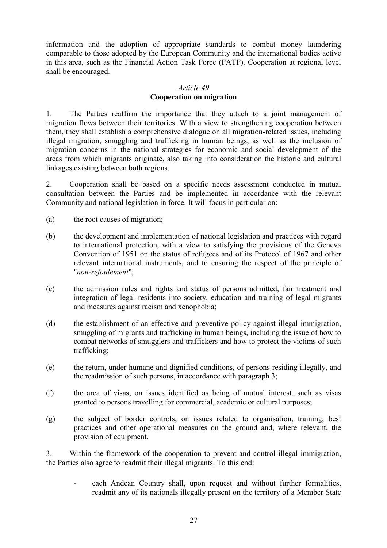information and the adoption of appropriate standards to combat money laundering comparable to those adopted by the European Community and the international bodies active in this area, such as the Financial Action Task Force (FATF). Cooperation at regional level shall be encouraged.

## *Article 49* **Cooperation on migration**

1. The Parties reaffirm the importance that they attach to a joint management of migration flows between their territories. With a view to strengthening cooperation between them, they shall establish a comprehensive dialogue on all migration-related issues, including illegal migration, smuggling and trafficking in human beings, as well as the inclusion of migration concerns in the national strategies for economic and social development of the areas from which migrants originate, also taking into consideration the historic and cultural linkages existing between both regions.

2. Cooperation shall be based on a specific needs assessment conducted in mutual consultation between the Parties and be implemented in accordance with the relevant Community and national legislation in force. It will focus in particular on:

- (a) the root causes of migration;
- (b) the development and implementation of national legislation and practices with regard to international protection, with a view to satisfying the provisions of the Geneva Convention of 1951 on the status of refugees and of its Protocol of 1967 and other relevant international instruments, and to ensuring the respect of the principle of "*non-refoulement*";
- (c) the admission rules and rights and status of persons admitted, fair treatment and integration of legal residents into society, education and training of legal migrants and measures against racism and xenophobia;
- (d) the establishment of an effective and preventive policy against illegal immigration, smuggling of migrants and trafficking in human beings, including the issue of how to combat networks of smugglers and traffickers and how to protect the victims of such trafficking;
- (e) the return, under humane and dignified conditions, of persons residing illegally, and the readmission of such persons, in accordance with paragraph 3;
- (f) the area of visas, on issues identified as being of mutual interest, such as visas granted to persons travelling for commercial, academic or cultural purposes;
- (g) the subject of border controls, on issues related to organisation, training, best practices and other operational measures on the ground and, where relevant, the provision of equipment.

3. Within the framework of the cooperation to prevent and control illegal immigration, the Parties also agree to readmit their illegal migrants. To this end:

- each Andean Country shall, upon request and without further formalities, readmit any of its nationals illegally present on the territory of a Member State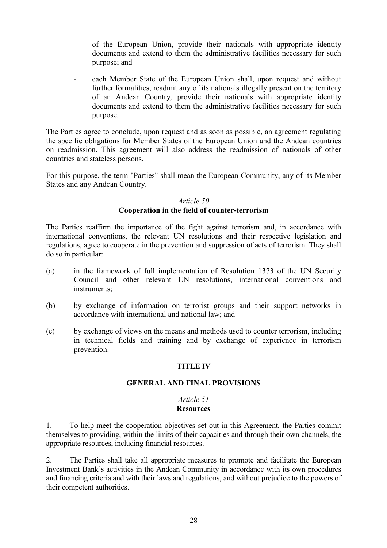of the European Union, provide their nationals with appropriate identity documents and extend to them the administrative facilities necessary for such purpose; and

each Member State of the European Union shall, upon request and without further formalities, readmit any of its nationals illegally present on the territory of an Andean Country, provide their nationals with appropriate identity documents and extend to them the administrative facilities necessary for such purpose.

The Parties agree to conclude, upon request and as soon as possible, an agreement regulating the specific obligations for Member States of the European Union and the Andean countries on readmission. This agreement will also address the readmission of nationals of other countries and stateless persons.

For this purpose, the term "Parties" shall mean the European Community, any of its Member States and any Andean Country.

#### *Article 50*

## **Cooperation in the field of counter-terrorism**

The Parties reaffirm the importance of the fight against terrorism and, in accordance with international conventions, the relevant UN resolutions and their respective legislation and regulations, agree to cooperate in the prevention and suppression of acts of terrorism. They shall do so in particular:

- (a) in the framework of full implementation of Resolution 1373 of the UN Security Council and other relevant UN resolutions, international conventions and instruments;
- (b) by exchange of information on terrorist groups and their support networks in accordance with international and national law; and
- (c) by exchange of views on the means and methods used to counter terrorism, including in technical fields and training and by exchange of experience in terrorism prevention.

# **TITLE IV**

#### **GENERAL AND FINAL PROVISIONS**

# *Article 51*

#### **Resources**

1. To help meet the cooperation objectives set out in this Agreement, the Parties commit themselves to providing, within the limits of their capacities and through their own channels, the appropriate resources, including financial resources.

2. The Parties shall take all appropriate measures to promote and facilitate the European Investment Bank's activities in the Andean Community in accordance with its own procedures and financing criteria and with their laws and regulations, and without prejudice to the powers of their competent authorities.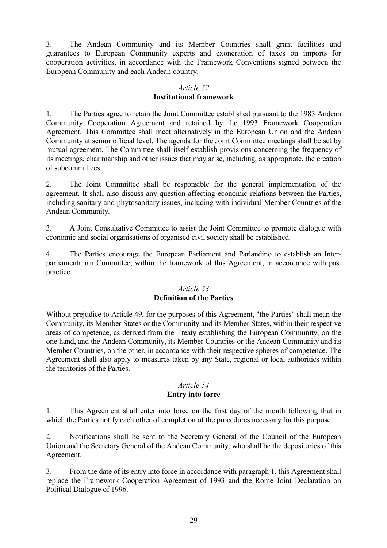3. The Andean Community and its Member Countries shall grant facilities and guarantees to European Community experts and exoneration of taxes on imports for cooperation activities, in accordance with the Framework Conventions signed between the European Community and each Andean country.

# *Article 52* **Institutional framework**

1. The Parties agree to retain the Joint Committee established pursuant to the 1983 Andean Community Cooperation Agreement and retained by the 1993 Framework Cooperation Agreement. This Committee shall meet alternatively in the European Union and the Andean Community at senior official level. The agenda for the Joint Committee meetings shall be set by mutual agreement. The Committee shall itself establish provisions concerning the frequency of its meetings, chairmanship and other issues that may arise, including, as appropriate, the creation of subcommittees.

2. The Joint Committee shall be responsible for the general implementation of the agreement. It shall also discuss any question affecting economic relations between the Parties, including sanitary and phytosanitary issues, including with individual Member Countries of the Andean Community.

3. A Joint Consultative Committee to assist the Joint Committee to promote dialogue with economic and social organisations of organised civil society shall be established.

4. The Parties encourage the European Parliament and Parlandino to establish an Interparliamentarian Committee, within the framework of this Agreement, in accordance with past practice.

# *Article 53*

# **Definition of the Parties**

Without prejudice to Article 49, for the purposes of this Agreement, "the Parties" shall mean the Community, its Member States or the Community and its Member States, within their respective areas of competence, as derived from the Treaty establishing the European Community, on the one hand, and the Andean Community, its Member Countries or the Andean Community and its Member Countries, on the other, in accordance with their respective spheres of competence. The Agreement shall also apply to measures taken by any State, regional or local authorities within the territories of the Parties.

## *Article 54* **Entry into force**

1. This Agreement shall enter into force on the first day of the month following that in which the Parties notify each other of completion of the procedures necessary for this purpose.

2. Notifications shall be sent to the Secretary General of the Council of the European Union and the Secretary General of the Andean Community, who shall be the depositories of this Agreement.

3. From the date of its entry into force in accordance with paragraph 1, this Agreement shall replace the Framework Cooperation Agreement of 1993 and the Rome Joint Declaration on Political Dialogue of 1996.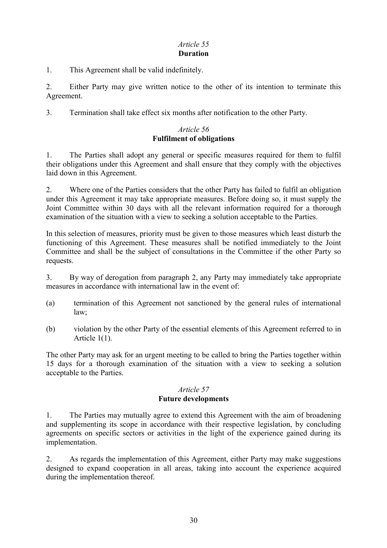#### *Article 55* **Duration**

1. This Agreement shall be valid indefinitely.

2. Either Party may give written notice to the other of its intention to terminate this Agreement.

3. Termination shall take effect six months after notification to the other Party.

# *Article 56* **Fulfilment of obligations**

1. The Parties shall adopt any general or specific measures required for them to fulfil their obligations under this Agreement and shall ensure that they comply with the objectives laid down in this Agreement.

2. Where one of the Parties considers that the other Party has failed to fulfil an obligation under this Agreement it may take appropriate measures. Before doing so, it must supply the Joint Committee within 30 days with all the relevant information required for a thorough examination of the situation with a view to seeking a solution acceptable to the Parties.

In this selection of measures, priority must be given to those measures which least disturb the functioning of this Agreement. These measures shall be notified immediately to the Joint Committee and shall be the subject of consultations in the Committee if the other Party so requests.

3. By way of derogation from paragraph 2, any Party may immediately take appropriate measures in accordance with international law in the event of:

- (a) termination of this Agreement not sanctioned by the general rules of international law;
- (b) violation by the other Party of the essential elements of this Agreement referred to in Article 1(1).

The other Party may ask for an urgent meeting to be called to bring the Parties together within 15 days for a thorough examination of the situation with a view to seeking a solution acceptable to the Parties.

## *Article 57* **Future developments**

1. The Parties may mutually agree to extend this Agreement with the aim of broadening and supplementing its scope in accordance with their respective legislation, by concluding agreements on specific sectors or activities in the light of the experience gained during its implementation.

2. As regards the implementation of this Agreement, either Party may make suggestions designed to expand cooperation in all areas, taking into account the experience acquired during the implementation thereof.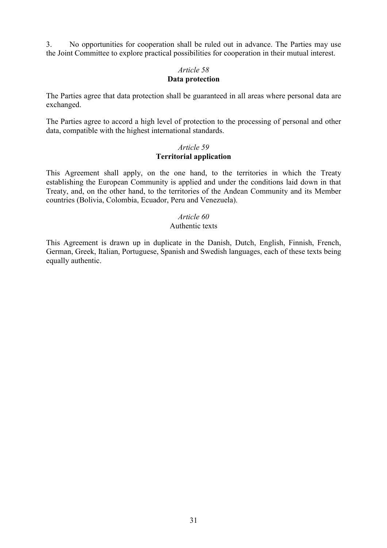3. No opportunities for cooperation shall be ruled out in advance. The Parties may use the Joint Committee to explore practical possibilities for cooperation in their mutual interest.

## *Article 58*

## **Data protection**

The Parties agree that data protection shall be guaranteed in all areas where personal data are exchanged.

The Parties agree to accord a high level of protection to the processing of personal and other data, compatible with the highest international standards.

## *Article 59* **Territorial application**

This Agreement shall apply, on the one hand, to the territories in which the Treaty establishing the European Community is applied and under the conditions laid down in that Treaty, and, on the other hand, to the territories of the Andean Community and its Member countries (Bolivia, Colombia, Ecuador, Peru and Venezuela).

#### *Article 60* Authentic texts

This Agreement is drawn up in duplicate in the Danish, Dutch, English, Finnish, French, German, Greek, Italian, Portuguese, Spanish and Swedish languages, each of these texts being equally authentic.